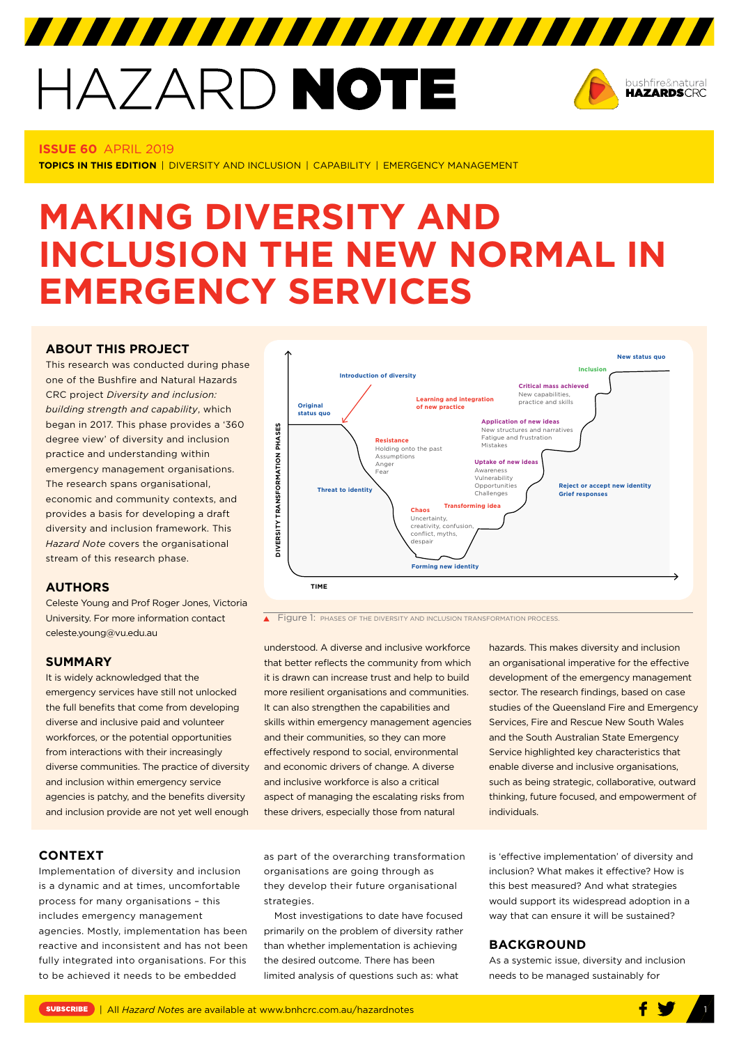# HAZARD NOTE



# **ISSUE 60** APRIL 2019

**TOPICS IN THIS EDITION** | DIVERSITY AND INCLUSION | CAPABILITY | EMERGENCY MANAGEMENT

# **MAKING DIVERSITY AND INCLUSION THE NEW NORMAL IN EMERGENCY SERVICES**

# **[ABOUT THIS PROJECT](http://www.bnhcrc.com.au/hazardnotes/59)**

This research was conducted during phase one of the Bushfire and Natural Hazards CRC project *Diversity and inclusion: building strength and capability*, which began in 2017. This phase provides a '360 degree view' of diversity and inclusion practice and understanding within emergency management organisations. The research spans organisational, economic and community contexts, and provides a basis for developing a draft diversity and inclusion framework. This *Hazard Note* covers the organisational stream of this research phase.

# **AUTHORS**

Celeste Young and Prof Roger Jones, Victoria University. For more information contact celeste.young@vu.edu.au

# **SUMMARY**

It is widely acknowledged that the emergency services have still not unlocked the full benefits that come from developing diverse and inclusive paid and volunteer workforces, or the potential opportunities from interactions with their increasingly diverse communities. The practice of diversity and inclusion within emergency service agencies is patchy, and the benefits diversity and inclusion provide are not yet well enough

#### **New status quo Inclusion Introduction of diversity Critical mass achieved** New capabiliti **Learning and integration**  practice and skills **of new practice Original status quo Application of new ideas** PHASES **DIVERSITY TRANSFORMATION PHASES** New structures and narratives **Resistance** Fatigue and frustration Mistakes Holding onto the past DIVERSITY TRANSFORMATION **Assumptions Uptake of new ideas** Ange Fear Awareness Vulnerability Opportunities **Reject or accept new identity Threat to identity** Challenges **Grief responses Transforming idea Chaos** Uncertainty,  $c$ reativity,  $\overline{conf}$ conflict, myths despair **Forming new identity TIME**

**Figure 1: PHASES OF THE DIVERSITY AND INCLUSION TRANSFORMATION PROCESS.** 

understood. A diverse and inclusive workforce that better reflects the community from which it is drawn can increase trust and help to build more resilient organisations and communities. It can also strengthen the capabilities and skills within emergency management agencies and their communities, so they can more effectively respond to social, environmental and economic drivers of change. A diverse and inclusive workforce is also a critical aspect of managing the escalating risks from these drivers, especially those from natural

hazards. This makes diversity and inclusion an organisational imperative for the effective development of the emergency management sector. The research findings, based on case studies of the Queensland Fire and Emergency Services, Fire and Rescue New South Wales and the South Australian State Emergency Service highlighted key characteristics that enable diverse and inclusive organisations, such as being strategic, collaborative, outward thinking, future focused, and empowerment of individuals.

**CONTEXT**

Implementation of diversity and inclusion is a dynamic and at times, uncomfortable process for many organisations – this includes emergency management agencies. Mostly, implementation has been reactive and inconsistent and has not been fully integrated into organisations. For this to be achieved it needs to be embedded

as part of the overarching transformation organisations are going through as they develop their future organisational strategies.

Most investigations to date have focused primarily on the problem of diversity rather than whether implementation is achieving the desired outcome. There has been limited analysis of questions such as: what

is 'effective implementation' of diversity and inclusion? What makes it effective? How is this best measured? And what strategies would support its widespread adoption in a way that can ensure it will be sustained?

# **BACKGROUND**

As a systemic issue, diversity and inclusion needs to be managed sustainably for

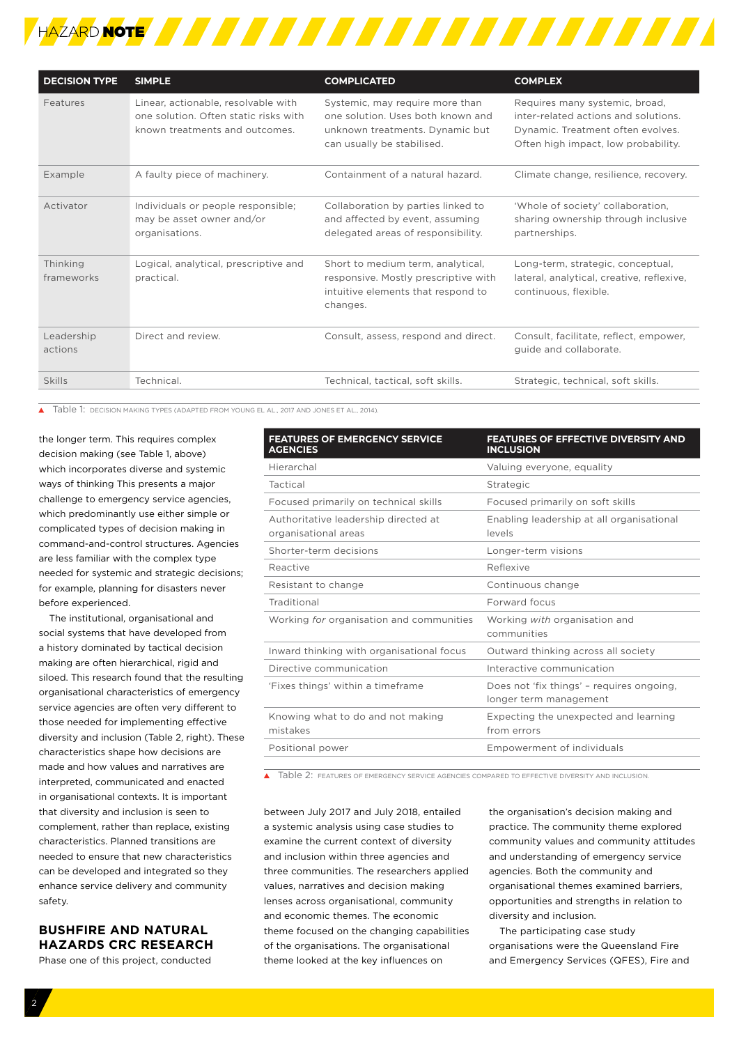

| <b>DECISION TYPE</b>   | <b>SIMPLE</b>                                                                                                  | <b>COMPLICATED</b>                                                                                                                    | <b>COMPLEX</b>                                                                                                                                     |
|------------------------|----------------------------------------------------------------------------------------------------------------|---------------------------------------------------------------------------------------------------------------------------------------|----------------------------------------------------------------------------------------------------------------------------------------------------|
| Features               | Linear, actionable, resolvable with<br>one solution. Often static risks with<br>known treatments and outcomes. | Systemic, may require more than<br>one solution. Uses both known and<br>unknown treatments. Dynamic but<br>can usually be stabilised. | Requires many systemic, broad,<br>inter-related actions and solutions.<br>Dynamic. Treatment often evolves.<br>Often high impact, low probability. |
| Example                | A faulty piece of machinery.                                                                                   | Containment of a natural hazard.                                                                                                      | Climate change, resilience, recovery.                                                                                                              |
| Activator              | Individuals or people responsible;<br>may be asset owner and/or<br>organisations.                              | Collaboration by parties linked to<br>and affected by event, assuming<br>delegated areas of responsibility.                           | 'Whole of society' collaboration,<br>sharing ownership through inclusive<br>partnerships.                                                          |
| Thinking<br>frameworks | Logical, analytical, prescriptive and<br>practical.                                                            | Short to medium term, analytical,<br>responsive. Mostly prescriptive with<br>intuitive elements that respond to<br>changes.           | Long-term, strategic, conceptual,<br>lateral, analytical, creative, reflexive,<br>continuous, flexible.                                            |
| Leadership<br>actions  | Direct and review.                                                                                             | Consult, assess, respond and direct.                                                                                                  | Consult, facilitate, reflect, empower,<br>guide and collaborate.                                                                                   |
| Skills                 | Technical.                                                                                                     | Technical, tactical, soft skills.                                                                                                     | Strategic, technical, soft skills.                                                                                                                 |

Table 1: DECISION MAKING TYPES (ADAPTED FROM YOUNG EL AL., 2017 AND JONES ET AL., 2014).

the longer term. This requires complex decision making (see Table 1, above) which incorporates diverse and systemic ways of thinking This presents a major challenge to emergency service agencies, which predominantly use either simple or complicated types of decision making in command-and-control structures. Agencies are less familiar with the complex type needed for systemic and strategic decisions; for example, planning for disasters never before experienced.

The institutional, organisational and social systems that have developed from a history dominated by tactical decision making are often hierarchical, rigid and siloed. This research found that the resulting organisational characteristics of emergency service agencies are often very different to those needed for implementing effective diversity and inclusion (Table 2, right). These characteristics shape how decisions are made and how values and narratives are interpreted, communicated and enacted in organisational contexts. It is important that diversity and inclusion is seen to complement, rather than replace, existing characteristics. Planned transitions are needed to ensure that new characteristics can be developed and integrated so they enhance service delivery and community safety.

# **BUSHFIRE AND NATURAL HAZARDS CRC RESEARCH**

Phase one of this project, conducted

| FEATURES OF EFFECTIVE DIVERSITY AND<br><b>INCLUSION</b>             |  |
|---------------------------------------------------------------------|--|
| Valuing everyone, equality                                          |  |
| Strategic                                                           |  |
| Focused primarily on soft skills                                    |  |
| Enabling leadership at all organisational<br>levels                 |  |
| Longer-term visions                                                 |  |
| Reflexive                                                           |  |
| Continuous change                                                   |  |
| Forward focus                                                       |  |
| Working with organisation and<br>communities                        |  |
| Outward thinking across all society                                 |  |
| Interactive communication                                           |  |
| Does not 'fix things' - requires ongoing,<br>longer term management |  |
| Expecting the unexpected and learning<br>from errors                |  |
| Empowerment of individuals                                          |  |
|                                                                     |  |

Table 2: FEATURES OF EMERGENCY SERVICE AGENCIES COMPARED TO EFFECTIVE DIVERSITY AND INCLUSION.

between July 2017 and July 2018, entailed a systemic analysis using case studies to examine the current context of diversity and inclusion within three agencies and three communities. The researchers applied values, narratives and decision making lenses across organisational, community and economic themes. The economic theme focused on the changing capabilities of the organisations. The organisational theme looked at the key influences on

the organisation's decision making and practice. The community theme explored community values and community attitudes and understanding of emergency service agencies. Both the community and organisational themes examined barriers, opportunities and strengths in relation to diversity and inclusion.

The participating case study organisations were the Queensland Fire and Emergency Services (QFES), Fire and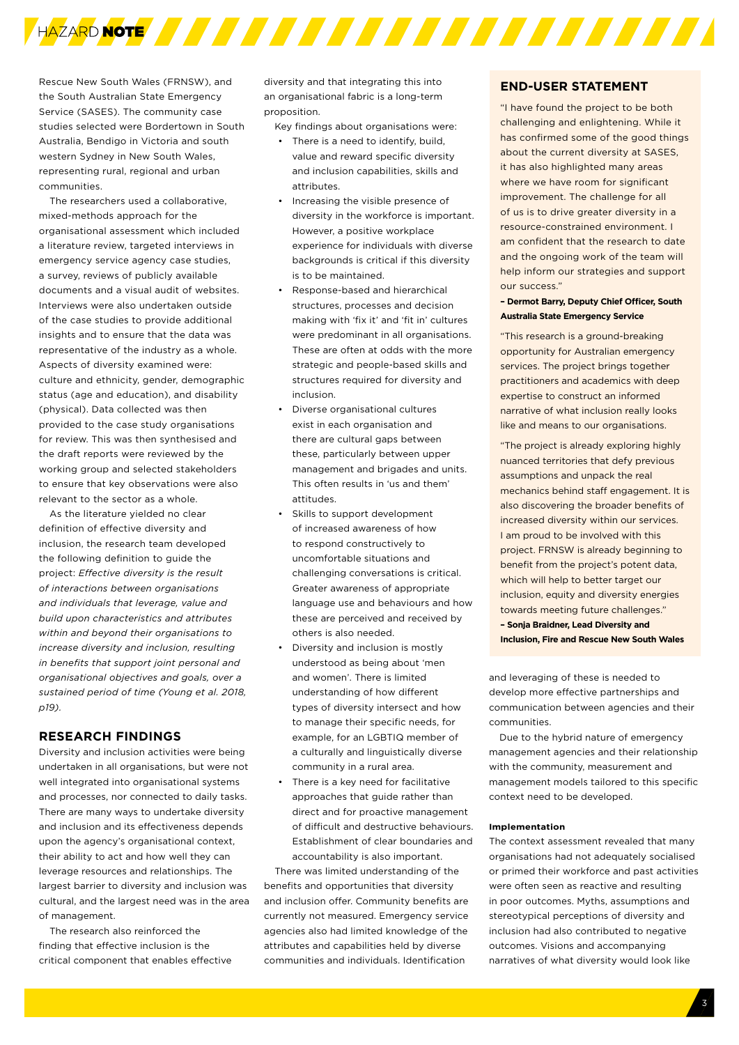

Rescue New South Wales (FRNSW), and the South Australian State Emergency Service (SASES). The community case studies selected were Bordertown in South Australia, Bendigo in Victoria and south western Sydney in New South Wales, representing rural, regional and urban communities.

The researchers used a collaborative, mixed-methods approach for the organisational assessment which included a literature review, targeted interviews in emergency service agency case studies, a survey, reviews of publicly available documents and a visual audit of websites. Interviews were also undertaken outside of the case studies to provide additional insights and to ensure that the data was representative of the industry as a whole. Aspects of diversity examined were: culture and ethnicity, gender, demographic status (age and education), and disability (physical). Data collected was then provided to the case study organisations for review. This was then synthesised and the draft reports were reviewed by the working group and selected stakeholders to ensure that key observations were also relevant to the sector as a whole.

As the literature yielded no clear definition of effective diversity and inclusion, the research team developed the following definition to guide the project: *Effective diversity is the result of interactions between organisations and individuals that leverage, value and build upon characteristics and attributes within and beyond their organisations to increase diversity and inclusion, resulting in benefits that support joint personal and organisational objectives and goals, over a sustained period of time (Young et al. 2018, p19).*

# **RESEARCH FINDINGS**

Diversity and inclusion activities were being undertaken in all organisations, but were not well integrated into organisational systems and processes, nor connected to daily tasks. There are many ways to undertake diversity and inclusion and its effectiveness depends upon the agency's organisational context, their ability to act and how well they can leverage resources and relationships. The largest barrier to diversity and inclusion was cultural, and the largest need was in the area of management.

The research also reinforced the finding that effective inclusion is the critical component that enables effective diversity and that integrating this into an organisational fabric is a long-term proposition.

Key findings about organisations were:

- There is a need to identify, build, value and reward specific diversity and inclusion capabilities, skills and attributes.
- Increasing the visible presence of diversity in the workforce is important. However, a positive workplace experience for individuals with diverse backgrounds is critical if this diversity is to be maintained.
- Response-based and hierarchical structures, processes and decision making with 'fix it' and 'fit in' cultures were predominant in all organisations. These are often at odds with the more strategic and people-based skills and structures required for diversity and inclusion.
- Diverse organisational cultures exist in each organisation and there are cultural gaps between these, particularly between upper management and brigades and units. This often results in 'us and them' attitudes.
- Skills to support development of increased awareness of how to respond constructively to uncomfortable situations and challenging conversations is critical. Greater awareness of appropriate language use and behaviours and how these are perceived and received by others is also needed.
- Diversity and inclusion is mostly understood as being about 'men and women'. There is limited understanding of how different types of diversity intersect and how to manage their specific needs, for example, for an LGBTIQ member of a culturally and linguistically diverse community in a rural area.
- There is a key need for facilitative approaches that guide rather than direct and for proactive management of difficult and destructive behaviours. Establishment of clear boundaries and accountability is also important.

There was limited understanding of the benefits and opportunities that diversity and inclusion offer. Community benefits are currently not measured. Emergency service agencies also had limited knowledge of the attributes and capabilities held by diverse communities and individuals. Identification

## **END-USER STATEMENT**

"I have found the project to be both challenging and enlightening. While it has confirmed some of the good things about the current diversity at SASES, it has also highlighted many areas where we have room for significant improvement. The challenge for all of us is to drive greater diversity in a resource-constrained environment. I am confident that the research to date and the ongoing work of the team will help inform our strategies and support our success."

# **– Dermot Barry, Deputy Chief Officer, South Australia State Emergency Service**

"This research is a ground-breaking opportunity for Australian emergency services. The project brings together practitioners and academics with deep expertise to construct an informed narrative of what inclusion really looks like and means to our organisations.

"The project is already exploring highly nuanced territories that defy previous assumptions and unpack the real mechanics behind staff engagement. It is also discovering the broader benefits of increased diversity within our services. I am proud to be involved with this project. FRNSW is already beginning to benefit from the project's potent data, which will help to better target our inclusion, equity and diversity energies towards meeting future challenges." **– Sonja Braidner, Lead Diversity and** 

**Inclusion, Fire and Rescue New South Wales**

and leveraging of these is needed to develop more effective partnerships and communication between agencies and their communities.

Due to the hybrid nature of emergency management agencies and their relationship with the community, measurement and management models tailored to this specific context need to be developed.

#### **Implementation**

The context assessment revealed that many organisations had not adequately socialised or primed their workforce and past activities were often seen as reactive and resulting in poor outcomes. Myths, assumptions and stereotypical perceptions of diversity and inclusion had also contributed to negative outcomes. Visions and accompanying narratives of what diversity would look like